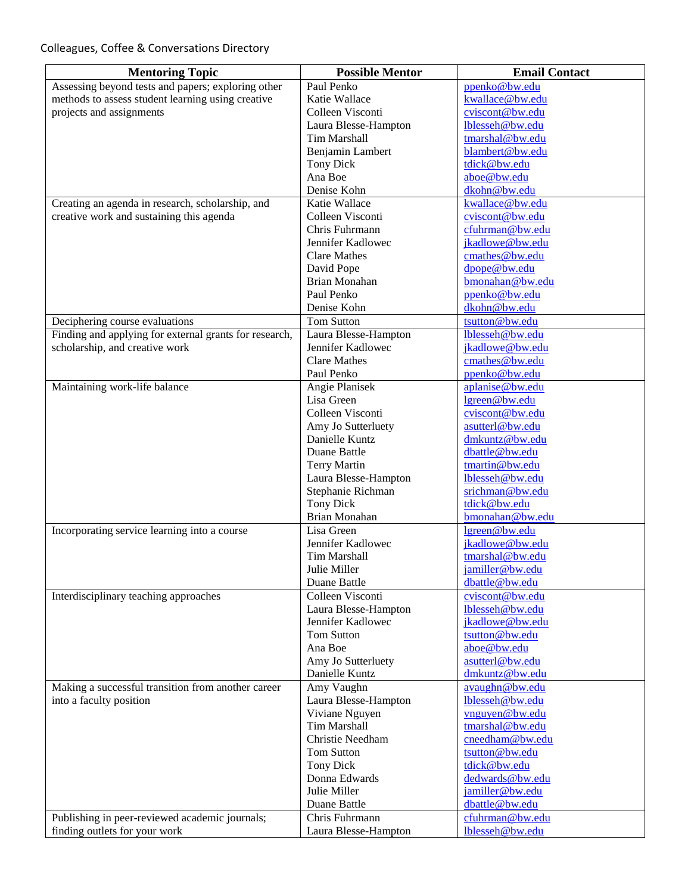| <b>Mentoring Topic</b>                                 | <b>Possible Mentor</b>            | <b>Email Contact</b>               |
|--------------------------------------------------------|-----------------------------------|------------------------------------|
| Assessing beyond tests and papers; exploring other     | Paul Penko                        | ppenko@bw.edu                      |
| methods to assess student learning using creative      | Katie Wallace                     | kwallace@bw.edu                    |
| projects and assignments                               | Colleen Visconti                  | cviscont@bw.edu                    |
|                                                        | Laura Blesse-Hampton              | lblesseh@bw.edu                    |
|                                                        | Tim Marshall                      | tmarshal@bw.edu                    |
|                                                        | Benjamin Lambert                  | blambert@bw.edu                    |
|                                                        | <b>Tony Dick</b>                  | tdick@bw.edu                       |
|                                                        | Ana Boe                           | aboe@bw.edu<br>dkohn@bw.edu        |
|                                                        | Denise Kohn                       |                                    |
| Creating an agenda in research, scholarship, and       | Katie Wallace<br>Colleen Visconti | kwallace@bw.edu<br>cviscont@bw.edu |
| creative work and sustaining this agenda               | Chris Fuhrmann                    | cfuhrman@bw.edu                    |
|                                                        | Jennifer Kadlowec                 | jkadlowe@bw.edu                    |
|                                                        | <b>Clare Mathes</b>               | cmathes@bw.edu                     |
|                                                        | David Pope                        | dpope@bw.edu                       |
|                                                        | <b>Brian Monahan</b>              | bmonahan@bw.edu                    |
|                                                        | Paul Penko                        | ppenko@bw.edu                      |
|                                                        | Denise Kohn                       | dkohn@bw.edu                       |
| Deciphering course evaluations                         | <b>Tom Sutton</b>                 | tsutton@bw.edu                     |
| Finding and applying for external grants for research, | Laura Blesse-Hampton              | lblesseh@bw.edu                    |
| scholarship, and creative work                         | Jennifer Kadlowec                 | jkadlowe@bw.edu                    |
|                                                        | <b>Clare Mathes</b>               | cmathes@bw.edu                     |
|                                                        | Paul Penko                        | ppenko@bw.edu                      |
| Maintaining work-life balance                          | Angie Planisek                    | aplanise@bw.edu                    |
|                                                        | Lisa Green                        | lgreen@bw.edu                      |
|                                                        | Colleen Visconti                  | cviscont@bw.edu                    |
|                                                        | Amy Jo Sutterluety                | asutterl@bw.edu                    |
|                                                        | Danielle Kuntz                    | dmkuntz@bw.edu                     |
|                                                        | Duane Battle                      | dbattle@bw.edu                     |
|                                                        | Terry Martin                      | tmartin@bw.edu                     |
|                                                        | Laura Blesse-Hampton              | lblesseh@bw.edu                    |
|                                                        | Stephanie Richman                 | srichman@bw.edu                    |
|                                                        | <b>Tony Dick</b><br>Brian Monahan | tdick@bw.edu<br>bmonahan@bw.edu    |
| Incorporating service learning into a course           | Lisa Green                        | lgreen@bw.edu                      |
|                                                        | Jennifer Kadlowec                 | jkadlowe@bw.edu                    |
|                                                        | Tim Marshall                      | tmarshal@bw.edu                    |
|                                                        | Julie Miller                      | jamiller@bw.edu                    |
|                                                        | Duane Battle                      | dbattle@bw.edu                     |
| Interdisciplinary teaching approaches                  | Colleen Visconti                  | cviscont@bw.edu                    |
|                                                        | Laura Blesse-Hampton              | lblesseh@bw.edu                    |
|                                                        | Jennifer Kadlowec                 | jkadlowe@bw.edu                    |
|                                                        | <b>Tom Sutton</b>                 | tsutton@bw.edu                     |
|                                                        | Ana Boe                           | aboe@bw.edu                        |
|                                                        | Amy Jo Sutterluety                | asutterl@bw.edu                    |
|                                                        | Danielle Kuntz                    | dmkuntz@bw.edu                     |
| Making a successful transition from another career     | Amy Vaughn                        | avaughn@bw.edu                     |
| into a faculty position                                | Laura Blesse-Hampton              | lblesseh@bw.edu                    |
|                                                        | Viviane Nguyen                    | vnguyen@bw.edu                     |
|                                                        | <b>Tim Marshall</b>               | tmarshal@bw.edu                    |
|                                                        | Christie Needham                  | cneedham@bw.edu                    |
|                                                        | Tom Sutton                        | tsutton@bw.edu                     |
|                                                        | <b>Tony Dick</b>                  | tdick@bw.edu                       |
|                                                        | Donna Edwards                     | dedwards@bw.edu                    |
|                                                        | Julie Miller                      | jamiller@bw.edu<br>dbattle@bw.edu  |
| Publishing in peer-reviewed academic journals;         | Duane Battle<br>Chris Fuhrmann    | cfuhrman@bw.edu                    |
| finding outlets for your work                          | Laura Blesse-Hampton              | lblesseh@bw.edu                    |
|                                                        |                                   |                                    |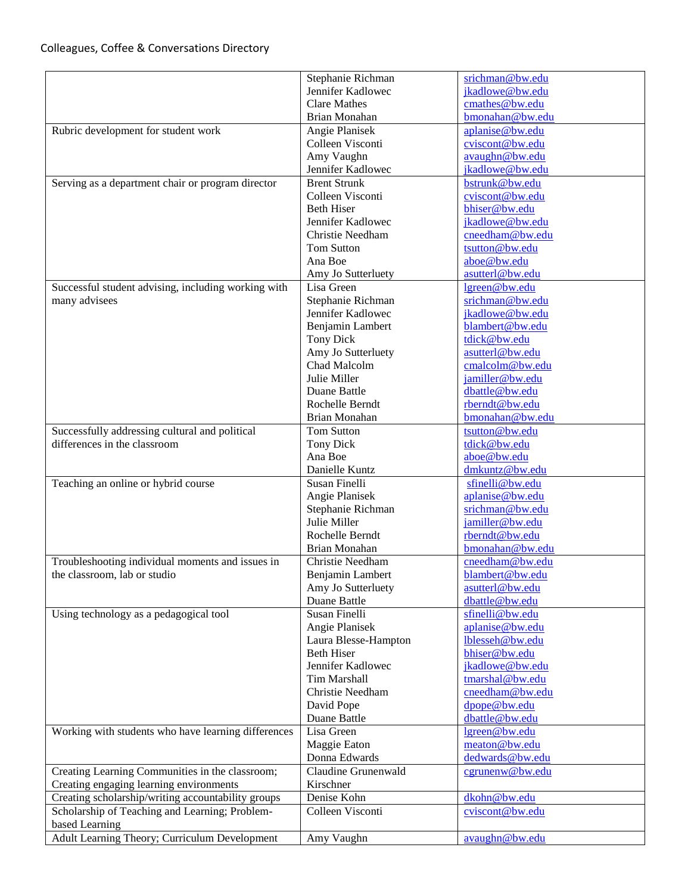## Colleagues, Coffee & Conversations Directory

|                                                     | Stephanie Richman    | srichman@bw.edu |
|-----------------------------------------------------|----------------------|-----------------|
|                                                     | Jennifer Kadlowec    | jkadlowe@bw.edu |
|                                                     | <b>Clare Mathes</b>  | cmathes@bw.edu  |
|                                                     | Brian Monahan        | bmonahan@bw.edu |
| Rubric development for student work                 | Angie Planisek       | aplanise@bw.edu |
|                                                     | Colleen Visconti     | cviscont@bw.edu |
|                                                     | Amy Vaughn           | avaughn@bw.edu  |
|                                                     | Jennifer Kadlowec    | jkadlowe@bw.edu |
| Serving as a department chair or program director   | <b>Brent Strunk</b>  | bstrunk@bw.edu  |
|                                                     | Colleen Visconti     | cviscont@bw.edu |
|                                                     | <b>Beth Hiser</b>    | bhiser@bw.edu   |
|                                                     | Jennifer Kadlowec    | jkadlowe@bw.edu |
|                                                     |                      | cneedham@bw.edu |
|                                                     | Christie Needham     |                 |
|                                                     | <b>Tom Sutton</b>    | tsutton@bw.edu  |
|                                                     | Ana Boe              | aboe@bw.edu     |
|                                                     | Amy Jo Sutterluety   | asutterl@bw.edu |
| Successful student advising, including working with | Lisa Green           | lgreen@bw.edu   |
| many advisees                                       | Stephanie Richman    | srichman@bw.edu |
|                                                     | Jennifer Kadlowec    | jkadlowe@bw.edu |
|                                                     | Benjamin Lambert     | blambert@bw.edu |
|                                                     | <b>Tony Dick</b>     | tdick@bw.edu    |
|                                                     | Amy Jo Sutterluety   | asutterl@bw.edu |
|                                                     | Chad Malcolm         | cmalcolm@bw.edu |
|                                                     | Julie Miller         | jamiller@bw.edu |
|                                                     | Duane Battle         | dbattle@bw.edu  |
|                                                     | Rochelle Berndt      | rberndt@bw.edu  |
|                                                     | Brian Monahan        | bmonahan@bw.edu |
| Successfully addressing cultural and political      | <b>Tom Sutton</b>    | tsutton@bw.edu  |
| differences in the classroom                        | <b>Tony Dick</b>     | tdick@bw.edu    |
|                                                     | Ana Boe              | aboe@bw.edu     |
|                                                     | Danielle Kuntz       | dmkuntz@bw.edu  |
| Teaching an online or hybrid course                 | Susan Finelli        | sfinelli@bw.edu |
|                                                     | Angie Planisek       | aplanise@bw.edu |
|                                                     | Stephanie Richman    | srichman@bw.edu |
|                                                     | Julie Miller         | jamiller@bw.edu |
|                                                     | Rochelle Berndt      | rberndt@bw.edu  |
|                                                     | Brian Monahan        | bmonahan@bw.edu |
| Troubleshooting individual moments and issues in    | Christie Needham     | cneedham@bw.edu |
| the classroom, lab or studio                        | Benjamin Lambert     | blambert@bw.edu |
|                                                     | Amy Jo Sutterluety   | asutterl@bw.edu |
|                                                     | Duane Battle         | dbattle@bw.edu  |
| Using technology as a pedagogical tool              | Susan Finelli        | sfinelli@bw.edu |
|                                                     | Angie Planisek       | aplanise@bw.edu |
|                                                     | Laura Blesse-Hampton | lblesseh@bw.edu |
|                                                     | <b>Beth Hiser</b>    | bhiser@bw.edu   |
|                                                     | Jennifer Kadlowec    | jkadlowe@bw.edu |
|                                                     | Tim Marshall         | tmarshal@bw.edu |
|                                                     |                      |                 |
|                                                     | Christie Needham     | cneedham@bw.edu |
|                                                     | David Pope           | dpope@bw.edu    |
|                                                     | Duane Battle         | dbattle@bw.edu  |
| Working with students who have learning differences | Lisa Green           | lgreen@bw.edu   |
|                                                     | Maggie Eaton         | meaton@bw.edu   |
|                                                     | Donna Edwards        | dedwards@bw.edu |
| Creating Learning Communities in the classroom;     | Claudine Grunenwald  | cgrunenw@bw.edu |
| Creating engaging learning environments             | Kirschner            |                 |
| Creating scholarship/writing accountability groups  | Denise Kohn          | dkohn@bw.edu    |
| Scholarship of Teaching and Learning; Problem-      | Colleen Visconti     | cviscont@bw.edu |
| based Learning                                      |                      |                 |
| Adult Learning Theory; Curriculum Development       | Amy Vaughn           | avaughn@bw.edu  |